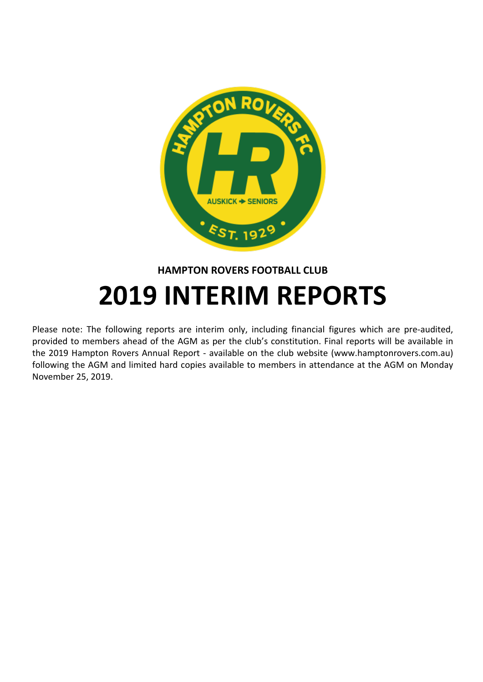

#### **HAMPTON ROVERS FOOTBALL CLUB**

# **2019 INTERIM REPORTS**

Please note: The following reports are interim only, including financial figures which are pre-audited, provided to members ahead of the AGM as per the club's constitution. Final reports will be available in the 2019 Hampton Rovers Annual Report - available on the club website (www.hamptonrovers.com.au) following the AGM and limited hard copies available to members in attendance at the AGM on Monday November 25, 2019.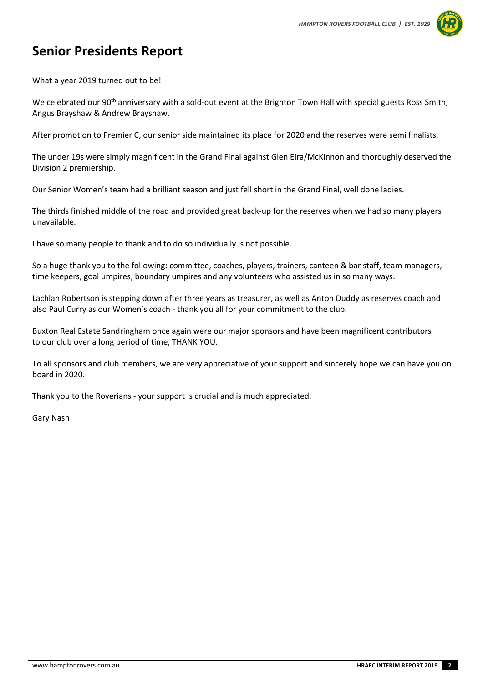

#### **Senior Presidents Report**

What a year 2019 turned out to be!

We celebrated our 90<sup>th</sup> anniversary with a sold-out event at the Brighton Town Hall with special guests Ross Smith, Angus Brayshaw & Andrew Brayshaw.

After promotion to Premier C, our senior side maintained its place for 2020 and the reserves were semi finalists.

The under 19s were simply magnificent in the Grand Final against Glen Eira/McKinnon and thoroughly deserved the Division 2 premiership.

Our Senior Women's team had a brilliant season and just fell short in the Grand Final, well done ladies.

The thirds finished middle of the road and provided great back-up for the reserves when we had so many players unavailable.

I have so many people to thank and to do so individually is not possible.

So a huge thank you to the following: committee, coaches, players, trainers, canteen & bar staff, team managers, time keepers, goal umpires, boundary umpires and any volunteers who assisted us in so many ways.

Lachlan Robertson is stepping down after three years as treasurer, as well as Anton Duddy as reserves coach and also Paul Curry as our Women's coach - thank you all for your commitment to the club.

Buxton Real Estate Sandringham once again were our major sponsors and have been magnificent contributors to our club over a long period of time, THANK YOU.

To all sponsors and club members, we are very appreciative of your support and sincerely hope we can have you on board in 2020.

Thank you to the Roverians - your support is crucial and is much appreciated.

Gary Nash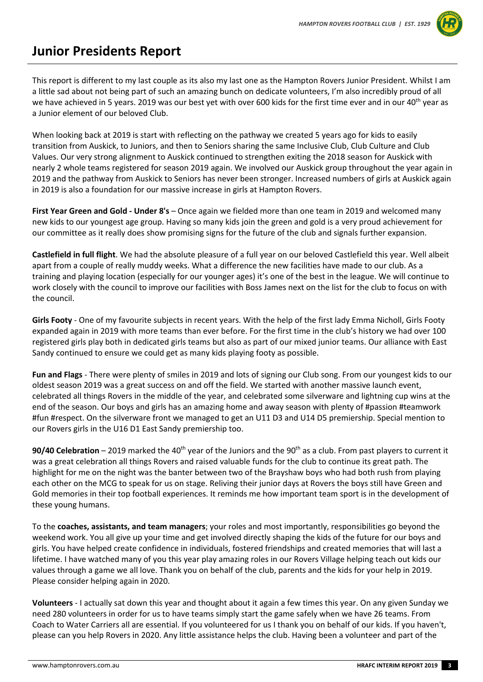

### **Junior Presidents Report**

This report is different to my last couple as its also my last one as the Hampton Rovers Junior President. Whilst I am a little sad about not being part of such an amazing bunch on dedicate volunteers, I'm also incredibly proud of all we have achieved in 5 years. 2019 was our best yet with over 600 kids for the first time ever and in our 40<sup>th</sup> year as a Junior element of our beloved Club.

When looking back at 2019 is start with reflecting on the pathway we created 5 years ago for kids to easily transition from Auskick, to Juniors, and then to Seniors sharing the same Inclusive Club, Club Culture and Club Values. Our very strong alignment to Auskick continued to strengthen exiting the 2018 season for Auskick with nearly 2 whole teams registered for season 2019 again. We involved our Auskick group throughout the year again in 2019 and the pathway from Auskick to Seniors has never been stronger. Increased numbers of girls at Auskick again in 2019 is also a foundation for our massive increase in girls at Hampton Rovers.

**First Year Green and Gold - Under 8's** – Once again we fielded more than one team in 2019 and welcomed many new kids to our youngest age group. Having so many kids join the green and gold is a very proud achievement for our committee as it really does show promising signs for the future of the club and signals further expansion.

**Castlefield in full flight**. We had the absolute pleasure of a full year on our beloved Castlefield this year. Well albeit apart from a couple of really muddy weeks. What a difference the new facilities have made to our club. As a training and playing location (especially for our younger ages) it's one of the best in the league. We will continue to work closely with the council to improve our facilities with Boss James next on the list for the club to focus on with the council.

**Girls Footy** - One of my favourite subjects in recent years. With the help of the first lady Emma Nicholl, Girls Footy expanded again in 2019 with more teams than ever before. For the first time in the club's history we had over 100 registered girls play both in dedicated girls teams but also as part of our mixed junior teams. Our alliance with East Sandy continued to ensure we could get as many kids playing footy as possible.

**Fun and Flags** - There were plenty of smiles in 2019 and lots of signing our Club song. From our youngest kids to our oldest season 2019 was a great success on and off the field. We started with another massive launch event, celebrated all things Rovers in the middle of the year, and celebrated some silverware and lightning cup wins at the end of the season. Our boys and girls has an amazing home and away season with plenty of #passion #teamwork #fun #respect. On the silverware front we managed to get an U11 D3 and U14 D5 premiership. Special mention to our Rovers girls in the U16 D1 East Sandy premiership too.

**90/40 Celebration** – 2019 marked the 40<sup>th</sup> year of the Juniors and the 90<sup>th</sup> as a club. From past players to current it was a great celebration all things Rovers and raised valuable funds for the club to continue its great path. The highlight for me on the night was the banter between two of the Brayshaw boys who had both rush from playing each other on the MCG to speak for us on stage. Reliving their junior days at Rovers the boys still have Green and Gold memories in their top football experiences. It reminds me how important team sport is in the development of these young humans.

To the **coaches, assistants, and team managers**; your roles and most importantly, responsibilities go beyond the weekend work. You all give up your time and get involved directly shaping the kids of the future for our boys and girls. You have helped create confidence in individuals, fostered friendships and created memories that will last a lifetime. I have watched many of you this year play amazing roles in our Rovers Village helping teach out kids our values through a game we all love. Thank you on behalf of the club, parents and the kids for your help in 2019. Please consider helping again in 2020.

**Volunteers** - I actually sat down this year and thought about it again a few times this year. On any given Sunday we need 280 volunteers in order for us to have teams simply start the game safely when we have 26 teams. From Coach to Water Carriers all are essential. If you volunteered for us I thank you on behalf of our kids. If you haven't, please can you help Rovers in 2020. Any little assistance helps the club. Having been a volunteer and part of the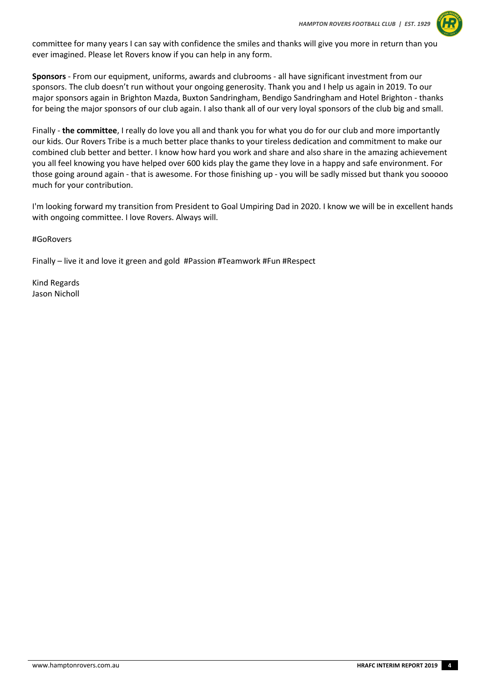

committee for many years I can say with confidence the smiles and thanks will give you more in return than you ever imagined. Please let Rovers know if you can help in any form.

**Sponsors** - From our equipment, uniforms, awards and clubrooms - all have significant investment from our sponsors. The club doesn't run without your ongoing generosity. Thank you and I help us again in 2019. To our major sponsors again in Brighton Mazda, Buxton Sandringham, Bendigo Sandringham and Hotel Brighton - thanks for being the major sponsors of our club again. I also thank all of our very loyal sponsors of the club big and small.

Finally - **the committee**, I really do love you all and thank you for what you do for our club and more importantly our kids. Our Rovers Tribe is a much better place thanks to your tireless dedication and commitment to make our combined club better and better. I know how hard you work and share and also share in the amazing achievement you all feel knowing you have helped over 600 kids play the game they love in a happy and safe environment. For those going around again - that is awesome. For those finishing up - you will be sadly missed but thank you sooooo much for your contribution.

I'm looking forward my transition from President to Goal Umpiring Dad in 2020. I know we will be in excellent hands with ongoing committee. I love Rovers. Always will.

#GoRovers

Finally – live it and love it green and gold #Passion #Teamwork #Fun #Respect

Kind Regards Jason Nicholl